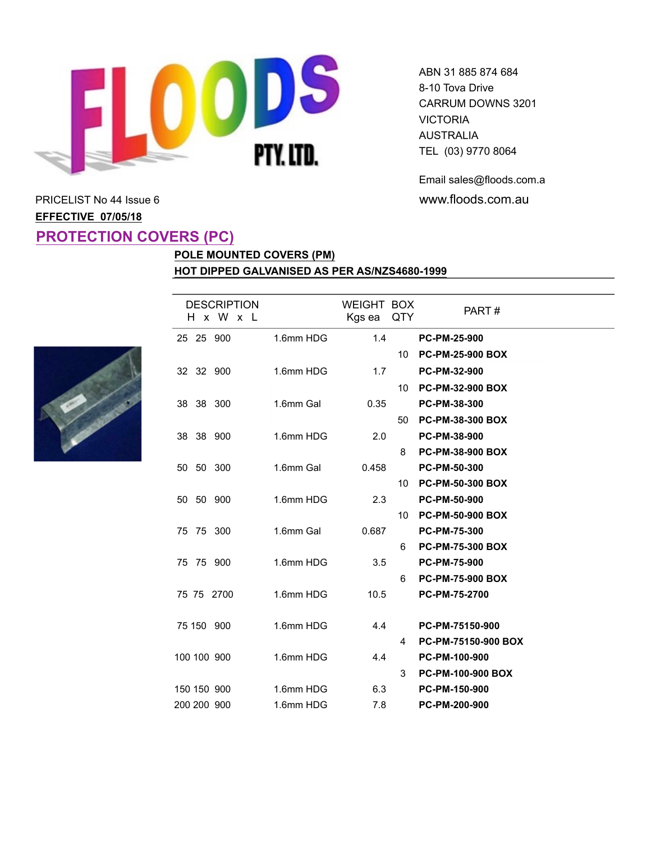

Email sales@floods.com.au

# PRICELIST No 44 Issue 6 **www.floods.com.au EFFECTIVE 07/05/18 PROTECTION COVERS (PC)**

## **POLE MOUNTED COVERS (PM) HOT DIPPED GALVANISED AS PER AS/NZS4680-1999**



|  | <b>DESCRIPTION</b><br>H x W x L |           | <b>WEIGHT BOX</b><br>Kgs ea | QTY             | PART#                      |
|--|---------------------------------|-----------|-----------------------------|-----------------|----------------------------|
|  | 25 25 900                       | 1.6mm HDG | 1.4                         |                 | <b>PC-PM-25-900</b>        |
|  |                                 |           |                             | 10 <sup>°</sup> | <b>PC-PM-25-900 BOX</b>    |
|  | 32 32 900                       | 1.6mm HDG | 1.7                         |                 | PC-PM-32-900               |
|  |                                 |           |                             | 10              | <b>PC-PM-32-900 BOX</b>    |
|  | 38 38 300                       | 1.6mm Gal | 0.35                        |                 | PC-PM-38-300               |
|  |                                 |           |                             | 50              | <b>PC-PM-38-300 BOX</b>    |
|  | 38 38 900                       | 1.6mm HDG | 2.0                         |                 | PC-PM-38-900               |
|  |                                 |           |                             | 8               | <b>PC-PM-38-900 BOX</b>    |
|  | 50 50 300                       | 1.6mm Gal | 0.458                       |                 | PC-PM-50-300               |
|  |                                 |           |                             | 10 <sup>1</sup> | <b>PC-PM-50-300 BOX</b>    |
|  | 50 50 900                       | 1.6mm HDG | 2.3                         |                 | PC-PM-50-900               |
|  |                                 |           |                             | 10              | <b>PC-PM-50-900 BOX</b>    |
|  | 75 75 300                       | 1.6mm Gal | 0.687                       |                 | <b>PC-PM-75-300</b>        |
|  |                                 |           |                             | 6               | <b>PC-PM-75-300 BOX</b>    |
|  | 75 75 900                       | 1.6mm HDG | 3.5                         |                 | PC-PM-75-900               |
|  |                                 |           |                             | 6               | <b>PC-PM-75-900 BOX</b>    |
|  | 75 75 2700                      | 1.6mm HDG | 10.5                        |                 | PC-PM-75-2700              |
|  |                                 |           |                             |                 |                            |
|  | 75 150 900                      | 1.6mm HDG | 4.4                         |                 | PC-PM-75150-900            |
|  |                                 |           |                             | 4               | <b>PC-PM-75150-900 BOX</b> |
|  | 100 100 900                     | 1.6mm HDG | 4.4                         |                 | PC-PM-100-900              |
|  |                                 |           |                             | 3               | PC-PM-100-900 BOX          |
|  | 150 150 900                     | 1.6mm HDG | 6.3                         |                 | PC-PM-150-900              |
|  | 200 200 900                     | 1.6mm HDG | 7.8                         |                 | PC-PM-200-900              |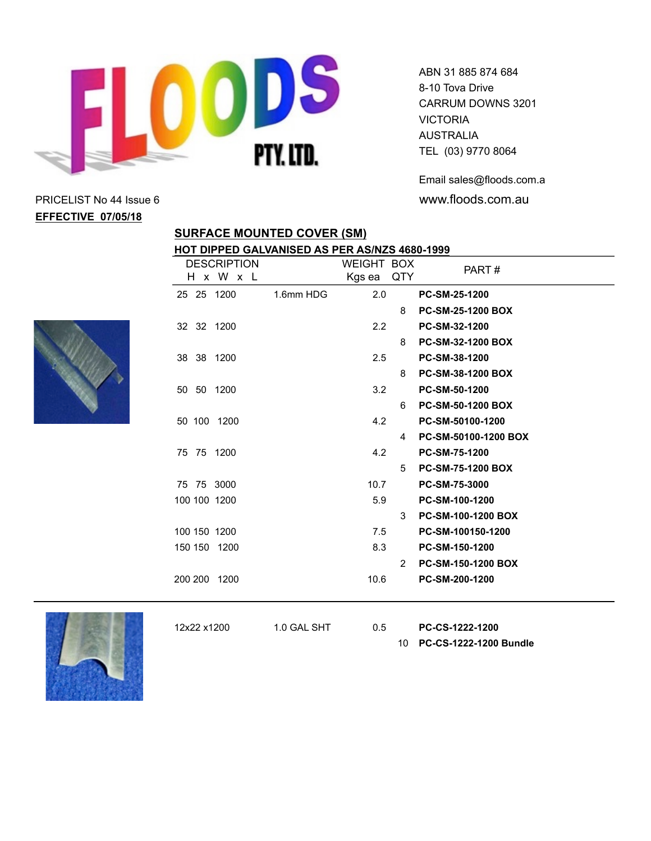

ABN 31 885 874 684 8-10 Tova Drive CARRUM DOWNS 3201 **VICTORIA** AUSTRALIA TEL (03) 9770 8064

Email sales@floods.com.au

**SURFACE MOUNTED COVER (SM)**

#### **HOT DIPPED GALVANISED AS PER AS/NZS 4680-1999**

|              | <b>DESCRIPTION</b> |           | <b>WEIGHT BOX</b> |                | PART#                     |
|--------------|--------------------|-----------|-------------------|----------------|---------------------------|
|              | H x W x L          |           | Kgs ea            | QTY            |                           |
| 25 25 1200   |                    | 1.6mm HDG | 2.0               |                | <b>PC-SM-25-1200</b>      |
|              |                    |           |                   | 8              | <b>PC-SM-25-1200 BOX</b>  |
| 32 32 1200   |                    |           | $2.2^{\circ}$     |                | PC-SM-32-1200             |
|              |                    |           |                   | 8              | <b>PC-SM-32-1200 BOX</b>  |
| 38 38 1200   |                    |           | 2.5               |                | PC-SM-38-1200             |
|              |                    |           |                   | 8              | <b>PC-SM-38-1200 BOX</b>  |
| 50 50 1200   |                    |           | 3.2               |                | PC-SM-50-1200             |
|              |                    |           |                   | 6              | <b>PC-SM-50-1200 BOX</b>  |
| 50 100 1200  |                    |           | 4.2               |                | PC-SM-50100-1200          |
|              |                    |           |                   | 4              | PC-SM-50100-1200 BOX      |
| 75 75 1200   |                    |           | 4.2               |                | PC-SM-75-1200             |
|              |                    |           |                   | 5              | <b>PC-SM-75-1200 BOX</b>  |
| 75 75 3000   |                    |           | 10.7              |                | PC-SM-75-3000             |
| 100 100 1200 |                    |           | 5.9               |                | PC-SM-100-1200            |
|              |                    |           |                   | 3 <sup>1</sup> | <b>PC-SM-100-1200 BOX</b> |
| 100 150 1200 |                    |           | 7.5               |                | PC-SM-100150-1200         |
| 150 150 1200 |                    |           | 8.3               |                | PC-SM-150-1200            |
|              |                    |           |                   | $\overline{2}$ | <b>PC-SM-150-1200 BOX</b> |
| 200 200 1200 |                    |           | 10.6              |                | PC-SM-200-1200            |
|              |                    |           |                   |                |                           |



12x22 x1200 1.0 GAL SHT 0.5 **PC-CS-1222-1200**

10 **PC-CS-1222-1200 Bundle**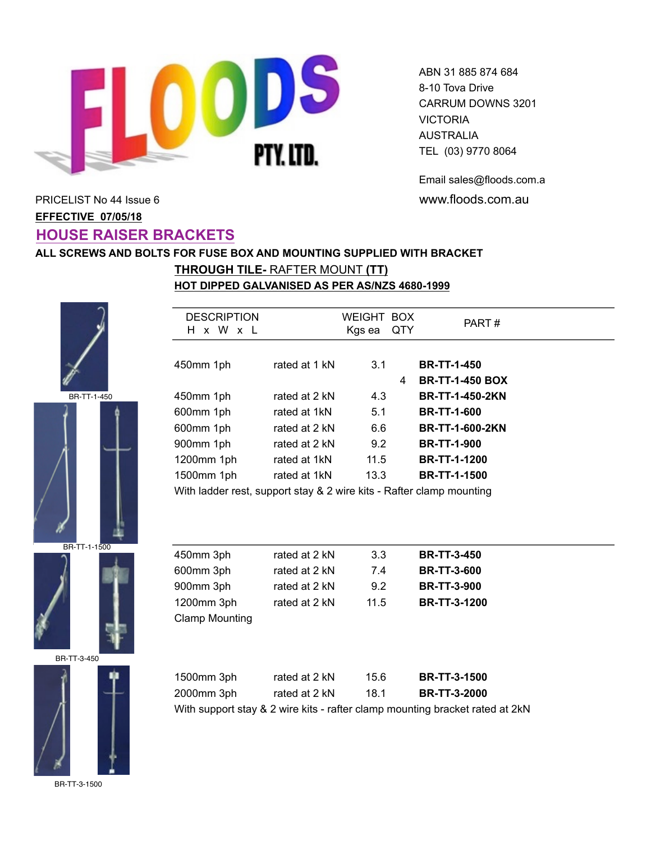

Email sales@floods.com.au

PART #

# PRICELIST No 44 Issue 6 **www.floods.com.au EFFECTIVE 07/05/18 HOUSE RAISER BRACKETS**

#### **ALL SCREWS AND BOLTS FOR FUSE BOX AND MOUNTING SUPPLIED WITH BRACKET**

**DESCRIPTION** 

**HOT DIPPED GALVANISED AS PER AS/NZS 4680-1999 THROUGH TILE-** RAFTER MOUNT **(TT)**



BR-TT-1-450





BR-TT-3-450



BR-TT-3-1500

| H x W<br>$\mathbf{x}$ |                                                                      | Kgs ea | QTY | FARI#                  |
|-----------------------|----------------------------------------------------------------------|--------|-----|------------------------|
|                       |                                                                      |        |     |                        |
| 450mm 1ph             | rated at 1 kN                                                        | 3.1    |     | <b>BR-TT-1-450</b>     |
|                       |                                                                      |        | 4   | <b>BR-TT-1-450 BOX</b> |
| 450mm 1ph             | rated at 2 kN                                                        | 4.3    |     | <b>BR-TT-1-450-2KN</b> |
| 600mm 1ph             | rated at 1kN                                                         | 5.1    |     | <b>BR-TT-1-600</b>     |
| 600mm 1ph             | rated at 2 kN                                                        | 6.6    |     | <b>BR-TT-1-600-2KN</b> |
| 900mm 1ph             | rated at 2 kN                                                        | 9.2    |     | <b>BR-TT-1-900</b>     |
| 1200mm 1ph            | rated at 1kN                                                         | 11.5   |     | <b>BR-TT-1-1200</b>    |
| 1500mm 1ph            | rated at 1kN                                                         | 13.3   |     | <b>BR-TT-1-1500</b>    |
|                       | With ladder rest, support stay & 2 wire kits - Rafter clamp mounting |        |     |                        |

WEIGHT BOX Kas ea QTY

With ladder rest, support stay & 2 wire kits - Rafter clamp mounting

| 450mm 3ph             | rated at 2 kN | 3.3  | <b>BR-TT-3-450</b>  |
|-----------------------|---------------|------|---------------------|
| 600mm 3ph             | rated at 2 kN | 7.4  | <b>BR-TT-3-600</b>  |
| 900mm 3ph             | rated at 2 kN | 9.2  | <b>BR-TT-3-900</b>  |
| 1200mm 3ph            | rated at 2 kN | 11.5 | <b>BR-TT-3-1200</b> |
| <b>Clamp Mounting</b> |               |      |                     |

| 1500mm 3ph | rated at 2 kN | 15.6 | <b>BR-TT-3-1500</b> |
|------------|---------------|------|---------------------|
| 2000mm 3ph | rated at 2 kN | 18.1 | <b>BR-TT-3-2000</b> |
|            |               |      |                     |

With support stay & 2 wire kits - rafter clamp mounting bracket rated at 2kN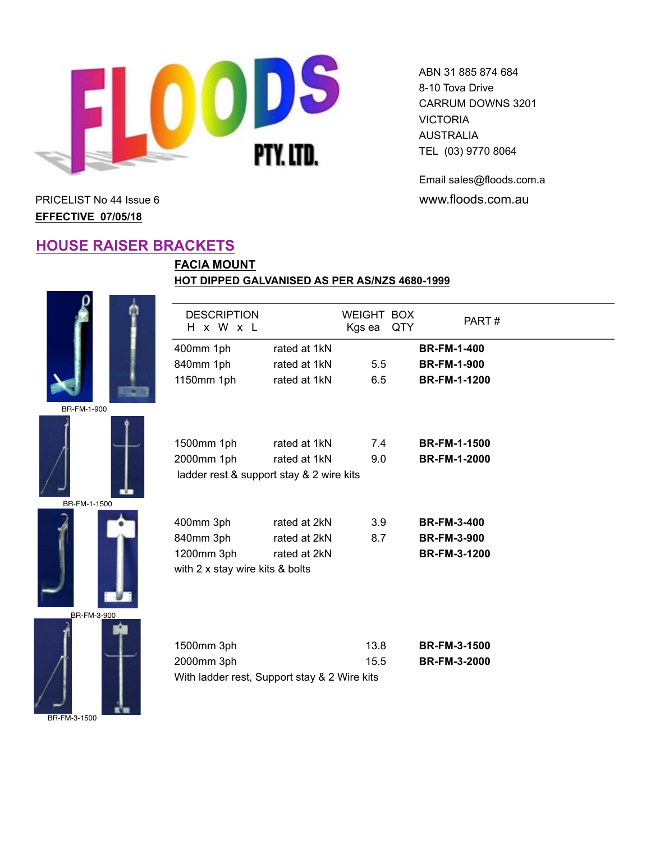

**FACIA MOUNT**

DESCRIPTION H x W x L

ABN 31 885 874 684 8-10 Tova Drive CARRUM DOWNS 3201 VICTORIA AUSTRALIA TEL (03) 9770 8064

Email sales@floods.com.au PRICELIST No 44 Issue 6 **www.floods.com.au** 

PART #

**EFFECTIVE 07/05/18**

### **HOUSE RAISER BRACKETS**

BR-FM-1-900



| BR-FM-1-1500 |  |
|--------------|--|





| 1500mm 1ph                      | rated at 1kN                             | 7.4  | <b>BR-FM-1-1500</b> |
|---------------------------------|------------------------------------------|------|---------------------|
| 2000mm 1ph                      | rated at 1kN                             | 9.0  | <b>BR-FM-1-2000</b> |
|                                 | ladder rest & support stay & 2 wire kits |      |                     |
|                                 |                                          |      |                     |
|                                 |                                          |      |                     |
| 400mm 3ph                       | rated at 2kN                             | 3.9  | <b>BR-FM-3-400</b>  |
| 840mm 3ph                       | rated at 2kN                             | 8.7  | <b>BR-FM-3-900</b>  |
| 1200mm 3ph                      | rated at 2kN                             |      | <b>BR-FM-3-1200</b> |
| with 2 x stay wire kits & bolts |                                          |      |                     |
|                                 |                                          |      |                     |
|                                 |                                          |      |                     |
|                                 |                                          |      |                     |
|                                 |                                          |      |                     |
| 1500mm 3ph                      |                                          | 13.8 | <b>BR-FM-3-1500</b> |
| 2000mm 3ph                      |                                          | 15.5 | <b>BR-FM-3-2000</b> |

With ladder rest, Support stay & 2 Wire kits

**HOT DIPPED GALVANISED AS PER AS/NZS 4680-1999**

400mm 1ph rated at 1kN **BR-FM-1-400** 840mm 1ph rated at 1kN 5.5 **BR-FM-1-900** 1150mm 1ph rated at 1kN 6.5 **BR-FM-1-1200**

WEIGHT BOX Kgs ea QTY

| BR-FM-3-1500 |  |
|--------------|--|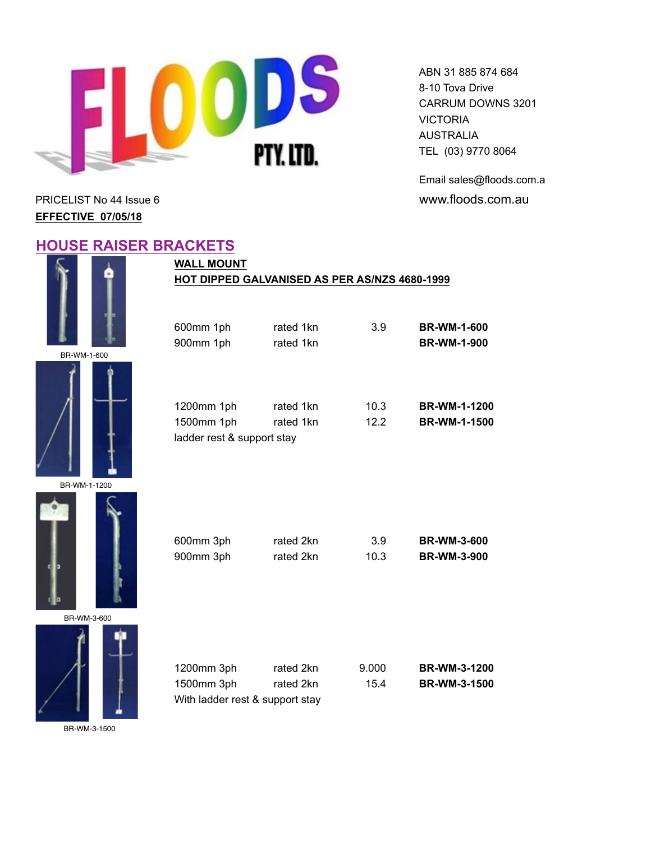

Email sales@floods.com.au PRICELIST No 44 Issue 6 **and Server 20 and Server 20 and Server 20 and Server 20 and Server 20 and Server 20 and Server 20 and Server 20 and Server 20 and Server 20 and Server 20 and Server 20 and Server 20 and Server 20 a** 

**EFFECTIVE 07/05/18**

#### **HOUSE RAISER BRACKETS**













| 1200mm 3ph                      | rated 2kn | 9.000 | <b>BR-WM-3-1200</b> |
|---------------------------------|-----------|-------|---------------------|
| 1500mm 3ph                      | rated 2kn | 15.4  | <b>BR-WM-3-1500</b> |
| With ladder rest & support stay |           |       |                     |

BR-WM-3-1500

### **WALL MOUNT HOT DIPPED GALVANISED AS PER AS/NZS 4680-1999**

| 600mm 1ph                                              | rated 1kn              | 3.9          | <b>BR-WM-1-600</b>                         |
|--------------------------------------------------------|------------------------|--------------|--------------------------------------------|
| 900mm 1ph                                              | rated 1kn              |              | <b>BR-WM-1-900</b>                         |
| 1200mm 1ph<br>1500mm 1ph<br>ladder rest & support stay | rated 1kn<br>rated 1kn | 10.3<br>12.2 | <b>BR-WM-1-1200</b><br><b>BR-WM-1-1500</b> |
| 600mm 3ph                                              | rated 2kn              | 3.9          | <b>BR-WM-3-600</b>                         |
| 900mm 3ph                                              | rated 2kn              | 10.3         | <b>BR-WM-3-900</b>                         |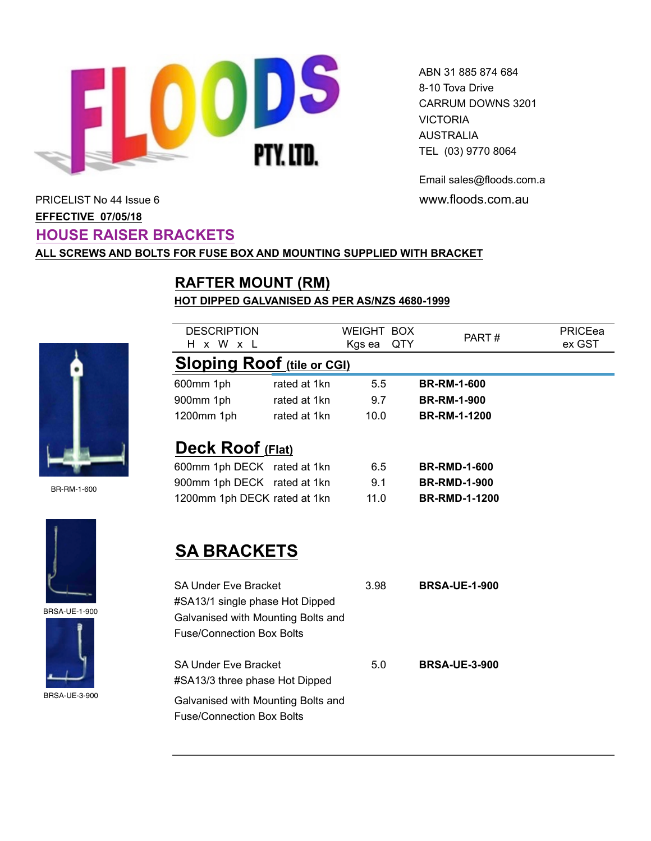

Email sales@floods.com.au

# PRICELIST No 44 Issue 6 **www.floods.com.au EFFECTIVE 07/05/18 HOUSE RAISER BRACKETS**

#### **ALL SCREWS AND BOLTS FOR FUSE BOX AND MOUNTING SUPPLIED WITH BRACKET**

# **RAFTER MOUNT (RM)**

#### **HOT DIPPED GALVANISED AS PER AS/NZS 4680-1999**



BR-RM-1-600



BRSA-UE-1-900



BRSA-UE-3-900

| <b>DESCRIPTION</b>                                                                                                                       |              | <b>WEIGHT BOX</b> |     | PART#                | PRICEea |
|------------------------------------------------------------------------------------------------------------------------------------------|--------------|-------------------|-----|----------------------|---------|
| x W x L<br>H.                                                                                                                            |              | Kgs ea            | QTY |                      | ex GST  |
| <b>Sloping Roof (tile or CGI)</b>                                                                                                        |              |                   |     |                      |         |
| 600mm 1ph                                                                                                                                | rated at 1kn | 5.5               |     | <b>BR-RM-1-600</b>   |         |
| 900mm 1ph                                                                                                                                | rated at 1kn | 9.7               |     | <b>BR-RM-1-900</b>   |         |
| 1200mm 1ph                                                                                                                               | rated at 1kn | 10.0              |     | <b>BR-RM-1-1200</b>  |         |
| <b>Deck Roof (Flat)</b>                                                                                                                  |              |                   |     |                      |         |
| 600mm 1ph DECK rated at 1kn                                                                                                              |              | 6.5               |     | <b>BR-RMD-1-600</b>  |         |
| 900mm 1ph DECK rated at 1kn                                                                                                              |              | 9.1               |     | <b>BR-RMD-1-900</b>  |         |
| 1200mm 1ph DECK rated at 1kn                                                                                                             |              | 11.0              |     | <b>BR-RMD-1-1200</b> |         |
| <b>SA BRACKETS</b>                                                                                                                       |              |                   |     |                      |         |
| <b>SA Under Eve Bracket</b><br>#SA13/1 single phase Hot Dipped<br>Galvanised with Mounting Bolts and<br><b>Fuse/Connection Box Bolts</b> |              | 3.98              |     | <b>BRSA-UE-1-900</b> |         |
| <b>SA Under Eve Bracket</b><br>#SA13/3 three phase Hot Dipped                                                                            |              | 5.0               |     | <b>BRSA-UE-3-900</b> |         |

Galvanised with Mounting Bolts and Fuse/Connection Box Bolts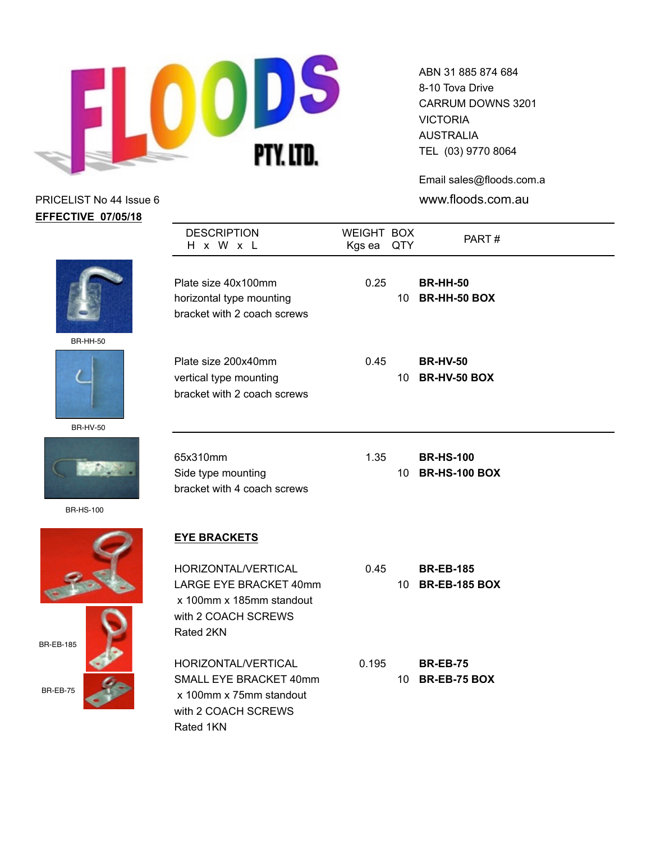

ABN 31 885 874 684 8-10 Tova Drive CARRUM DOWNS 3201 VICTORIA AUSTRALIA TEL (03) 9770 8064

Email sales@floods.com.au

| <b>EFFECTIVE 07/05/18</b> |                                                                                                 |                      |                 |                                        |  |
|---------------------------|-------------------------------------------------------------------------------------------------|----------------------|-----------------|----------------------------------------|--|
|                           | <b>DESCRIPTION</b><br>H x W x L                                                                 | WEIGHT BOX<br>Kgs ea | QTY             | PART#                                  |  |
|                           | Plate size 40x100mm<br>horizontal type mounting<br>bracket with 2 coach screws                  | 0.25                 | 10 <sup>°</sup> | <b>BR-HH-50</b><br>BR-HH-50 BOX        |  |
| <b>BR-HH-50</b>           |                                                                                                 |                      |                 |                                        |  |
|                           | Plate size 200x40mm<br>vertical type mounting<br>bracket with 2 coach screws                    | 0.45                 | 10 <sup>°</sup> | <b>BR-HV-50</b><br><b>BR-HV-50 BOX</b> |  |
| <b>BR-HV-50</b>           |                                                                                                 |                      |                 |                                        |  |
|                           | 65x310mm<br>Side type mounting<br>bracket with 4 coach screws                                   | 1.35                 |                 | <b>BR-HS-100</b><br>10 BR-HS-100 BOX   |  |
| <b>BR-HS-100</b>          |                                                                                                 |                      |                 |                                        |  |
|                           | <b>EYE BRACKETS</b>                                                                             |                      |                 |                                        |  |
|                           | HORIZONTAL/VERTICAL                                                                             | 0.45                 |                 | <b>BR-EB-185</b>                       |  |
|                           | LARGE EYE BRACKET 40mm<br>x 100mm x 185mm standout<br>with 2 COACH SCREWS<br>Rated 2KN          |                      |                 | 10 BR-EB-185 BOX                       |  |
| <b>BR-EB-185</b>          |                                                                                                 |                      |                 |                                        |  |
| BR-EB-75                  | HORIZONTAL/VERTICAL<br>SMALL EYE BRACKET 40mm<br>x 100mm x 75mm standout<br>with 2 COACH SCREWS | 0.195                |                 | <b>BR-EB-75</b><br>10 BR-EB-75 BOX     |  |
|                           | Rated 1KN                                                                                       |                      |                 |                                        |  |





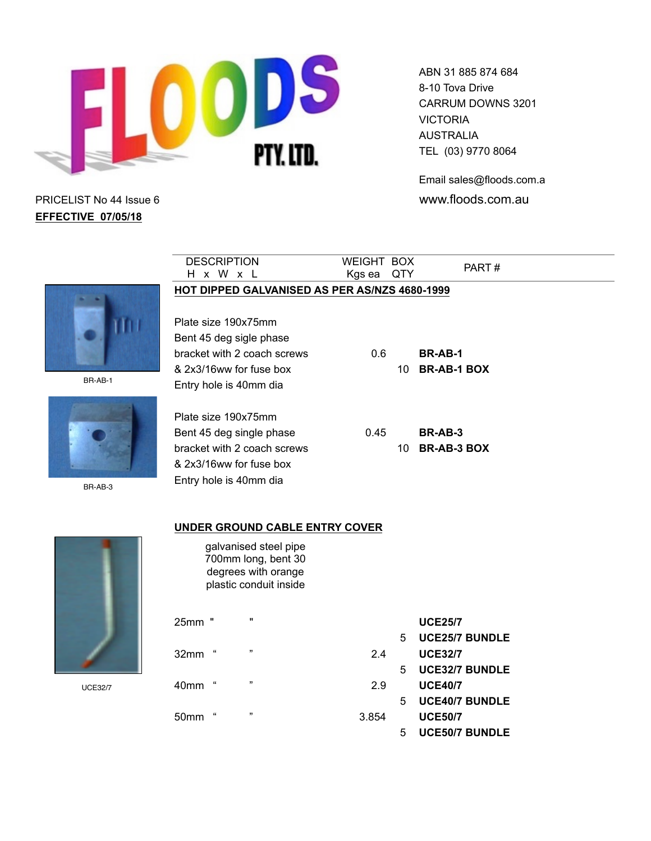

Email sales@floods.com.au

PRICELIST No 44 Issue 6 www.floods.com.au **EFFECTIVE 07/05/18**

| <b>DESCRIPTION</b>          |                                               | <b>WEIGHT BOX</b> |     | PART#                 |  |
|-----------------------------|-----------------------------------------------|-------------------|-----|-----------------------|--|
| H x W x L                   |                                               | Kgs ea            | QTY |                       |  |
|                             | HOT DIPPED GALVANISED AS PER AS/NZS 4680-1999 |                   |     |                       |  |
|                             |                                               |                   |     |                       |  |
| Plate size 190x75mm         |                                               |                   |     |                       |  |
| Bent 45 deg sigle phase     |                                               |                   |     |                       |  |
| bracket with 2 coach screws |                                               | 0.6               |     | BR-AB-1               |  |
| & 2x3/16ww for fuse box     |                                               |                   | 10  | <b>BR-AB-1 BOX</b>    |  |
| Entry hole is 40mm dia      |                                               |                   |     |                       |  |
|                             |                                               |                   |     |                       |  |
| Plate size 190x75mm         |                                               |                   |     |                       |  |
| Bent 45 deg single phase    |                                               | 0.45              |     | BR-AB-3               |  |
| bracket with 2 coach screws |                                               |                   | 10  | <b>BR-AB-3 BOX</b>    |  |
| & 2x3/16ww for fuse box     |                                               |                   |     |                       |  |
| Entry hole is 40mm dia      |                                               |                   |     |                       |  |
|                             |                                               |                   |     |                       |  |
|                             |                                               |                   |     |                       |  |
|                             | <b>UNDER GROUND CABLE ENTRY COVER</b>         |                   |     |                       |  |
|                             | galvanised steel pipe                         |                   |     |                       |  |
|                             | 700mm long, bent 30                           |                   |     |                       |  |
|                             | degrees with orange<br>plastic conduit inside |                   |     |                       |  |
|                             |                                               |                   |     |                       |  |
|                             | w                                             |                   |     |                       |  |
| 25mm<br>Ħ                   |                                               |                   |     | <b>UCE25/7</b>        |  |
| $\mathfrak{c}\mathfrak{c}$  | 33                                            |                   | 5   | <b>UCE25/7 BUNDLE</b> |  |
| 32mm                        |                                               | 2.4               |     | <b>UCE32/7</b>        |  |
|                             | $\overline{\mathbf{u}}$                       |                   | 5   | <b>UCE32/7 BUNDLE</b> |  |
| $\epsilon\epsilon$<br>40mm  |                                               | 2.9               |     | <b>UCE40/7</b>        |  |
| $\epsilon\epsilon$          | ,,                                            |                   | 5   | <b>UCE40/7 BUNDLE</b> |  |
| 50 <sub>mm</sub>            |                                               | 3.854             |     | <b>UCE50/7</b>        |  |
|                             |                                               |                   | 5   | <b>UCE50/7 BUNDLE</b> |  |



BR-AB-1



BR-AB-3



UCE32/7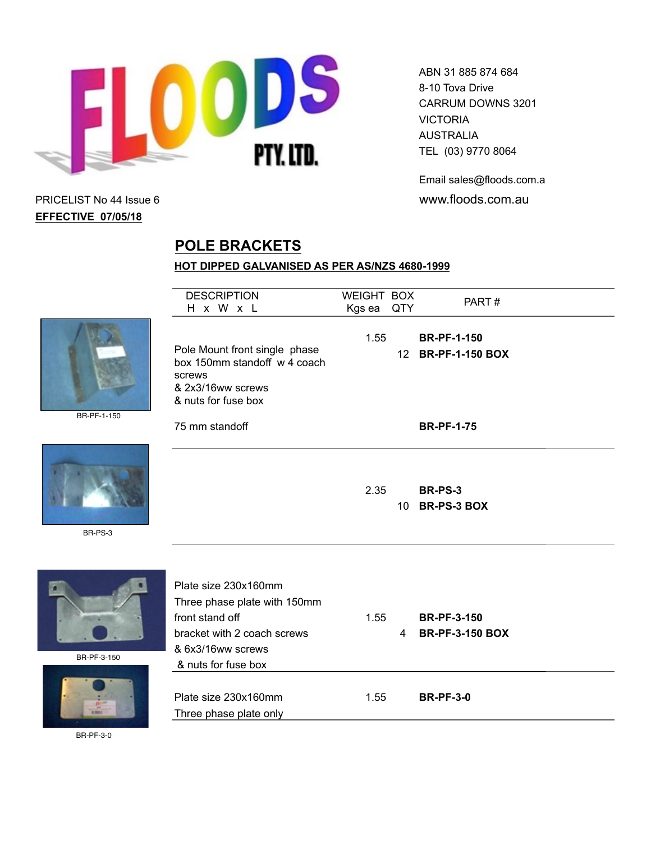

Email sales@floods.com.au PRICELIST No 44 Issue 6 www.floods.com.au

# **EFFECTIVE 07/05/18**

# **POLE BRACKETS**

#### **HOT DIPPED GALVANISED AS PER AS/NZS 4680-1999**

|              | <b>DESCRIPTION</b><br>H x W x L                                                                                                                    | WEIGHT BOX<br>Kgs ea | QTY            | PART#                                                         |  |
|--------------|----------------------------------------------------------------------------------------------------------------------------------------------------|----------------------|----------------|---------------------------------------------------------------|--|
| BR-PF-1-150  | Pole Mount front single phase<br>box 150mm standoff w 4 coach<br>screws<br>& 2x3/16ww screws<br>& nuts for fuse box<br>75 mm standoff              | 1.55                 |                | <b>BR-PF-1-150</b><br>12 BR-PF-1-150 BOX<br><b>BR-PF-1-75</b> |  |
| BR-PS-3      |                                                                                                                                                    | 2.35                 |                | <b>BR-PS-3</b><br>10 BR-PS-3 BOX                              |  |
| BR-PF-3-150  | Plate size 230x160mm<br>Three phase plate with 150mm<br>front stand off<br>bracket with 2 coach screws<br>& 6x3/16ww screws<br>& nuts for fuse box | 1.55                 | $\overline{4}$ | <b>BR-PF-3-150</b><br><b>BR-PF-3-150 BOX</b>                  |  |
| <b>EXIST</b> | Plate size 230x160mm<br>Three phase plate only                                                                                                     | 1.55                 |                | <b>BR-PF-3-0</b>                                              |  |

BR-PF-3-0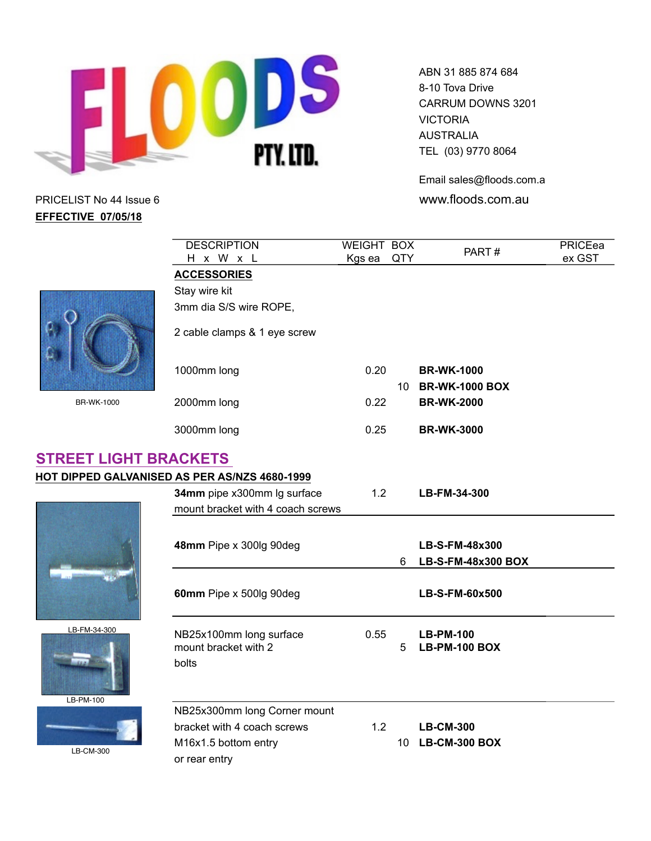![](_page_9_Picture_0.jpeg)

ABN 31 885 874 684 8-10 Tova Drive CARRUM DOWNS 3201 VICTORIA AUSTRALIA TEL (03) 9770 8064

Email sales@floods.com.au

|                              | <b>DESCRIPTION</b>                                       | <b>WEIGHT BOX</b> |    | PART#                                    | PRICEea |
|------------------------------|----------------------------------------------------------|-------------------|----|------------------------------------------|---------|
|                              | H x W x L                                                | Kgs ea QTY        |    |                                          | ex GST  |
|                              | <b>ACCESSORIES</b>                                       |                   |    |                                          |         |
|                              | Stay wire kit                                            |                   |    |                                          |         |
|                              | 3mm dia S/S wire ROPE,                                   |                   |    |                                          |         |
|                              | 2 cable clamps & 1 eye screw                             |                   |    |                                          |         |
|                              | 1000mm long                                              | 0.20              |    | <b>BR-WK-1000</b><br>10 BR-WK-1000 BOX   |         |
| <b>BR-WK-1000</b>            | 2000mm long                                              | 0.22              |    | <b>BR-WK-2000</b>                        |         |
|                              | 3000mm long                                              | 0.25              |    | <b>BR-WK-3000</b>                        |         |
| <b>STREET LIGHT BRACKETS</b> |                                                          |                   |    |                                          |         |
|                              | HOT DIPPED GALVANISED AS PER AS/NZS 4680-1999            |                   |    |                                          |         |
|                              | 34mm pipe x300mm Ig surface                              | 1.2               |    | LB-FM-34-300                             |         |
|                              | mount bracket with 4 coach screws                        |                   |    |                                          |         |
|                              |                                                          |                   |    |                                          |         |
|                              | 48mm Pipe x 300lg 90deg                                  |                   |    | LB-S-FM-48x300                           |         |
|                              |                                                          |                   | 6. | LB-S-FM-48x300 BOX                       |         |
|                              | 60mm Pipe x 500lg 90deg                                  |                   |    | LB-S-FM-60x500                           |         |
| LB-FM-34-300                 | NB25x100mm long surface<br>mount bracket with 2<br>bolts | 0.55              | 5  | <b>LB-PM-100</b><br><b>LB-PM-100 BOX</b> |         |
| LB-PM-100                    | NB25x300mm long Corner mount                             |                   |    |                                          |         |
|                              | bracket with 4 coach screws                              | 1.2               |    | <b>LB-CM-300</b>                         |         |
|                              | M16x1.5 bottom entry                                     |                   |    | 10 LB-CM-300 BOX                         |         |
| LB-CM-300                    | or rear entry                                            |                   |    |                                          |         |
|                              |                                                          |                   |    |                                          |         |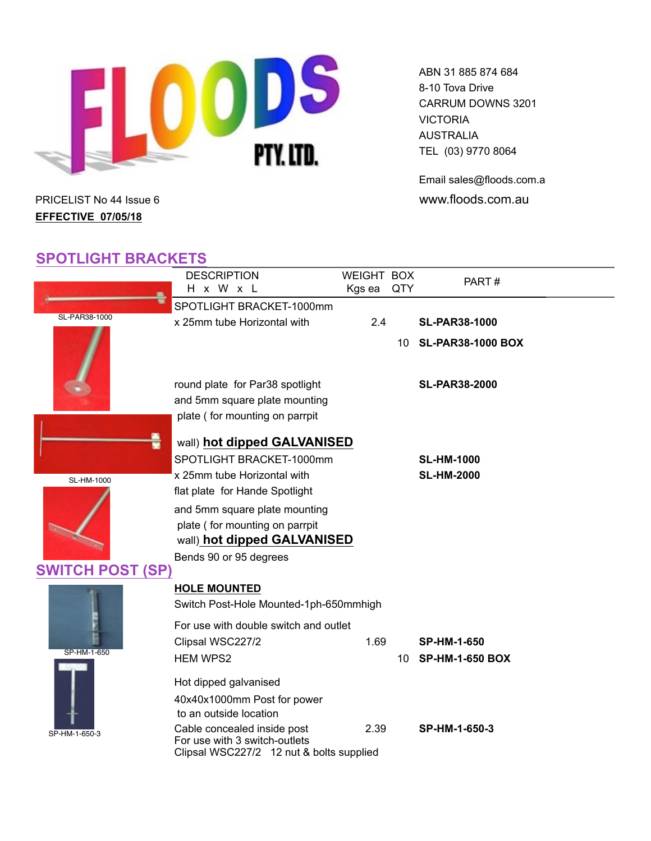![](_page_10_Picture_0.jpeg)

Email sales@floods.com.au PRICELIST No 44 Issue 6 **www.floods.com.au** 

# **EFFECTIVE 07/05/18**

# **SPOTLIGHT BRACKETS**

|                         | <b>DESCRIPTION</b>                                      |      | WEIGHT BOX    | PART#                    |  |  |  |
|-------------------------|---------------------------------------------------------|------|---------------|--------------------------|--|--|--|
|                         | H x W x L                                               |      | Kgs ea<br>QTY |                          |  |  |  |
|                         | SPOTLIGHT BRACKET-1000mm                                |      |               |                          |  |  |  |
| SL-PAR38-1000           | x 25mm tube Horizontal with                             | 2.4  |               | <b>SL-PAR38-1000</b>     |  |  |  |
|                         |                                                         |      | 10            | <b>SL-PAR38-1000 BOX</b> |  |  |  |
|                         | round plate for Par38 spotlight                         |      |               | <b>SL-PAR38-2000</b>     |  |  |  |
|                         | and 5mm square plate mounting                           |      |               |                          |  |  |  |
|                         | plate (for mounting on parrpit                          |      |               |                          |  |  |  |
|                         | wall) hot dipped GALVANISED<br>SPOTLIGHT BRACKET-1000mm |      |               | <b>SL-HM-1000</b>        |  |  |  |
|                         | x 25mm tube Horizontal with                             |      |               | <b>SL-HM-2000</b>        |  |  |  |
| <b>SL-HM-1000</b>       | flat plate for Hande Spotlight                          |      |               |                          |  |  |  |
|                         |                                                         |      |               |                          |  |  |  |
|                         | and 5mm square plate mounting                           |      |               |                          |  |  |  |
|                         | plate (for mounting on parrpit                          |      |               |                          |  |  |  |
|                         | wall) hot dipped GALVANISED                             |      |               |                          |  |  |  |
|                         | Bends 90 or 95 degrees                                  |      |               |                          |  |  |  |
| <b>SWITCH POST (SP)</b> |                                                         |      |               |                          |  |  |  |
|                         | <b>HOLE MOUNTED</b>                                     |      |               |                          |  |  |  |
|                         | Switch Post-Hole Mounted-1ph-650mmhigh                  |      |               |                          |  |  |  |
|                         | For use with double switch and outlet                   |      |               |                          |  |  |  |
|                         |                                                         |      |               |                          |  |  |  |
| SP-HM-1-650             | Clipsal WSC227/2                                        | 1.69 |               | <b>SP-HM-1-650</b>       |  |  |  |
|                         | <b>HEM WPS2</b>                                         |      |               | 10 SP-HM-1-650 BOX       |  |  |  |
|                         | Hot dipped galvanised                                   |      |               |                          |  |  |  |
|                         | 40x40x1000mm Post for power                             |      |               |                          |  |  |  |
|                         | to an outside location                                  |      |               |                          |  |  |  |
|                         | Cable concealed inside post                             | 2.39 |               | SP-HM-1-650-3            |  |  |  |
| SP-HM-1-650-3           | For use with 3 switch-outlets                           |      |               |                          |  |  |  |
|                         | Clipsal WSC227/2 12 nut & bolts supplied                |      |               |                          |  |  |  |
|                         |                                                         |      |               |                          |  |  |  |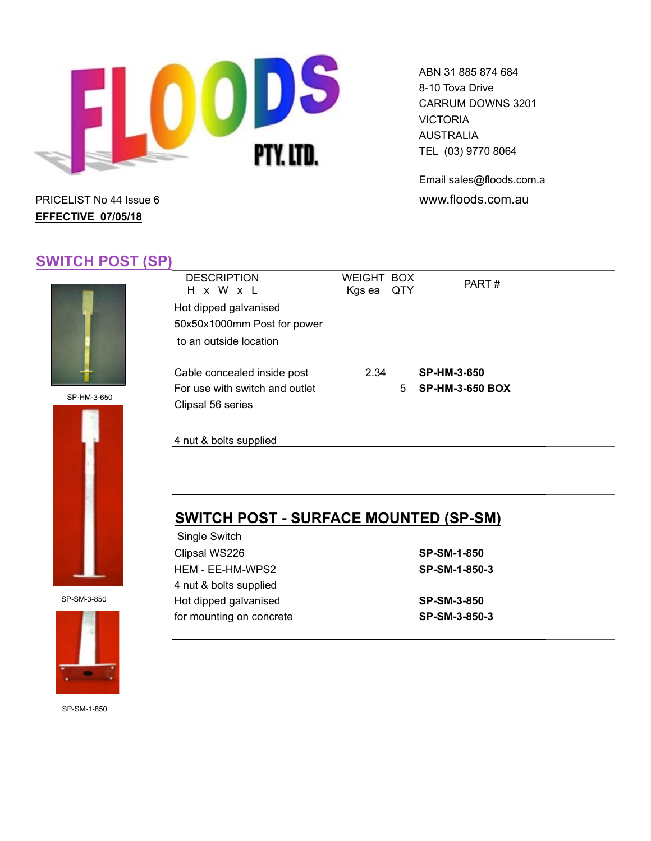![](_page_11_Picture_0.jpeg)

Email sales@floods.com.au PRICELIST No 44 Issue 6 **and Server 20 and Server 20 and Server 20 and Server 20 and Server 20 and Server 20 and Server 20 and Server 20 and Server 20 and Server 20 and Server 20 and Server 20 and Server 20 and Server 20 a** 

# **EFFECTIVE 07/05/18**

# **SWITCH POST (SP)**

![](_page_11_Picture_5.jpeg)

SP-HM-3-650

![](_page_11_Picture_7.jpeg)

SP-SM-3-850

![](_page_11_Picture_9.jpeg)

| <b>DESCRIPTION</b><br>H x W x L                                                    | WEIGHT BOX<br>Kgs ea | <b>QTY</b> | PART#                                        |
|------------------------------------------------------------------------------------|----------------------|------------|----------------------------------------------|
| Hot dipped galvanised<br>50x50x1000mm Post for power<br>to an outside location     |                      |            |                                              |
| Cable concealed inside post<br>For use with switch and outlet<br>Clipsal 56 series | 2.34                 | 5          | <b>SP-HM-3-650</b><br><b>SP-HM-3-650 BOX</b> |
| 4 nut & bolts supplied                                                             |                      |            |                                              |

# **SWITCH POST - SURFACE MOUNTED (SP-SM)**

| <b>SP-SM-1-850</b> |
|--------------------|
| SP-SM-1-850-3      |
|                    |
| <b>SP-SM-3-850</b> |
| SP-SM-3-850-3      |
|                    |

SP-SM-1-850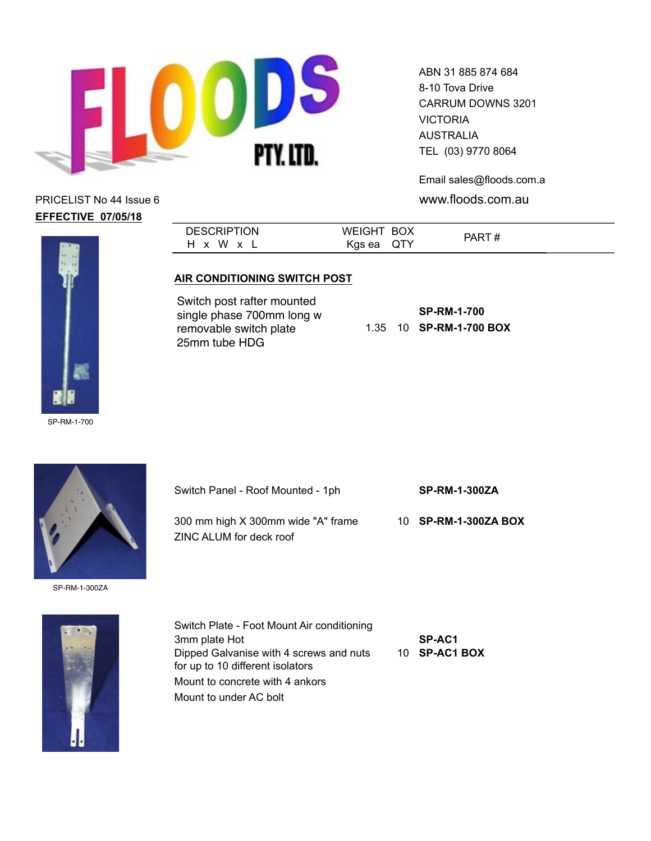![](_page_12_Picture_0.jpeg)

ABN 31 885 874 684 8-10 Tova Drive CARRUM DOWNS 3201 **VICTORIA** AUSTRALIA TEL (03) 9770 8064

Email sales@floods.com.au

![](_page_12_Picture_5.jpeg)

**DESCRIPTION** H x W x L WEIGHT BOX Kgs ea QTY PART #

#### **AIR CONDITIONING SWITCH POST**

Switch post rafter mounted single phase 700mm long w removable switch plate 25mm tube HDG

|  | <b>SP-RM-1-700</b> |
|--|--------------------|
|  |                    |

![](_page_12_Picture_11.jpeg)

Switch Panel - Roof Mounted - 1ph **SP-RM-1-300ZA** 300 mm high X 300mm wide "A" frame 10 **SP-RM-1-300ZA BOX** ZINC ALUM for deck roof

SP-RM-1-300ZA

![](_page_12_Picture_14.jpeg)

Switch Plate - Foot Mount Air conditioning 3mm plate Hot **SP-AC1** Dipped Galvanise with 4 screws and nuts 10 **SP-AC1 BOX** for up to 10 different isolators Mount to concrete with 4 ankors Mount to under AC bolt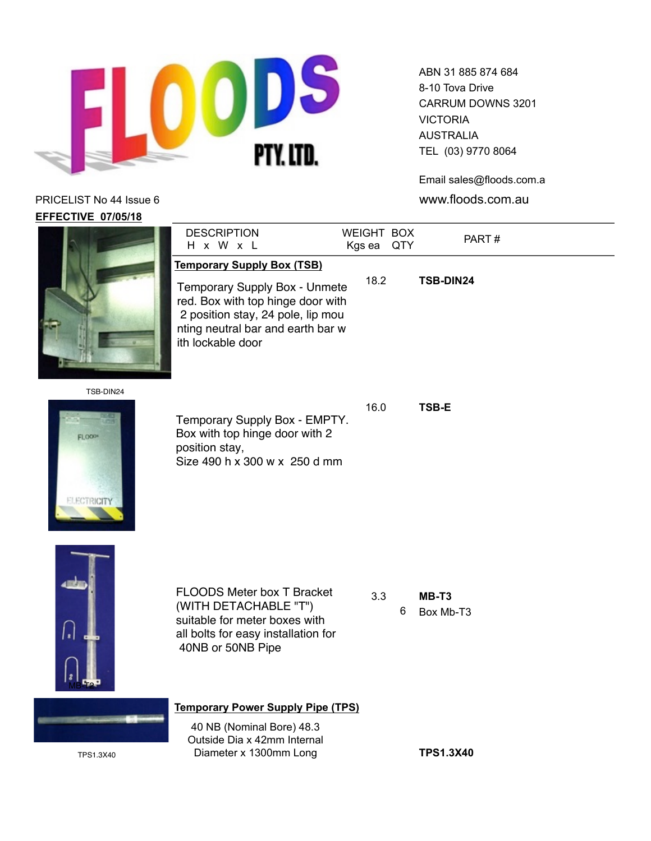![](_page_13_Picture_0.jpeg)

ABN 31 885 874 684 8-10 Tova Drive CARRUM DOWNS 3201 VICTORIA AUSTRALIA TEL (03) 9770 8064

Email sales@floods.com.au

|                                           | <b>DESCRIPTION</b><br>H x W x L                                                                                                                                                                        | WEIGHT BOX<br>Kgs ea QTY |   | PART#              |
|-------------------------------------------|--------------------------------------------------------------------------------------------------------------------------------------------------------------------------------------------------------|--------------------------|---|--------------------|
|                                           | <b>Temporary Supply Box (TSB)</b><br>Temporary Supply Box - Unmete<br>red. Box with top hinge door with<br>2 position stay, 24 pole, lip mou<br>nting neutral bar and earth bar w<br>ith lockable door | 18.2                     |   | TSB-DIN24          |
| TSB-DIN24<br>FLOOD*<br><b>ELECTRICITY</b> | Temporary Supply Box - EMPTY.<br>Box with top hinge door with 2<br>position stay,<br>Size 490 h x 300 w x 250 d mm                                                                                     | 16.0                     |   | <b>TSB-E</b>       |
|                                           | <b>FLOODS Meter box T Bracket</b><br>(WITH DETACHABLE "T")<br>suitable for meter boxes with<br>all bolts for easy installation for<br>40NB or 50NB Pipe                                                | 3.3                      | 6 | MB-T3<br>Box Mb-T3 |
|                                           | <b>Temporary Power Supply Pipe (TPS)</b>                                                                                                                                                               |                          |   |                    |
| TPS1.3X40                                 | 40 NB (Nominal Bore) 48.3<br>Outside Dia x 42mm Internal<br>Diameter x 1300mm Long                                                                                                                     |                          |   | <b>TPS1.3X40</b>   |